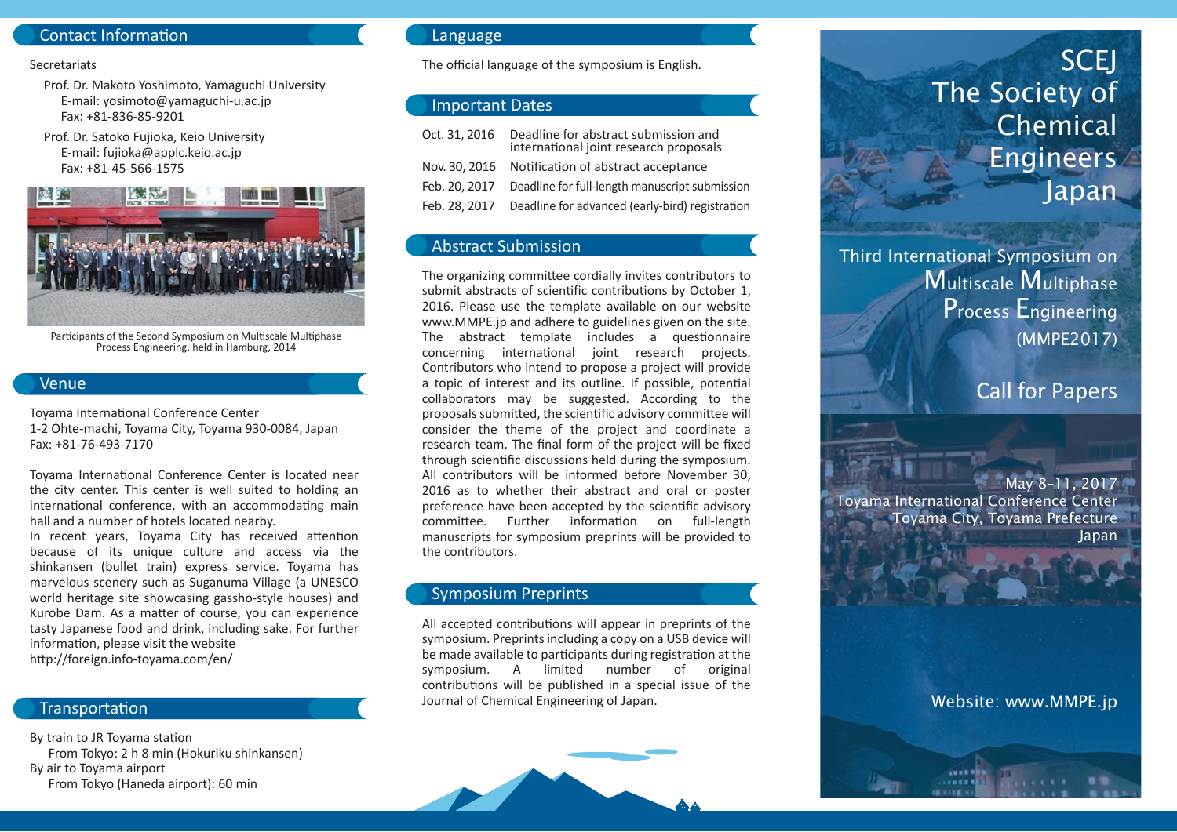# Contact Information

#### **Secretariats**

 Prof. Dr. Makoto Yoshimoto, Yamaguchi University E-mail: yosimoto@yamaguchi-u.ac.jp Fax: +81-836-85-9201

 Prof. Dr. Satoko Fujioka, Keio University E-mail: fujioka@applc.keio.ac.jp Fax: +81-45-566-1575



Participants of the Second Symposium on Multiscale Multiphase Process Engineering, held in Hamburg, 2014

#### Venue

Toyama International Conference Center 1-2 Ohte-machi, Toyama City, Toyama 930-0084, Japan Fax: +81-76-493-7170

Toyama International Conference Center is located near the city center. This center is well suited to holding an international conference, with an accommodating main hall and a number of hotels located nearby.

In recent years, Toyama City has received attention because of its unique culture and access via the shinkansen (bullet train) express service. Toyama has marvelous scenery such as Suganuma Village (a UNESCO world heritage site showcasing gassho-style houses) and Kurobe Dam. As a matter of course, you can experience tasty Japanese food and drink, including sake. For further information, please visit the website http://foreign.info-toyama.com/en/

#### **Transportation**

By train to JR Toyama station From Tokyo: 2 h 8 min (Hokuriku shinkansen) By air to Toyama airport From Tokyo (Haneda airport): 60 min

### Language

The official language of the symposium is English.

## Important Dates

| Oct. 31, 2016 | Deadline for abstract submission and<br>international joint research proposals |
|---------------|--------------------------------------------------------------------------------|
|               | Nov. 30, 2016 Notification of abstract acceptance                              |
| Feb. 20. 2017 | Deadline for full-length manuscript submission                                 |
| Feb. 28, 2017 | Deadline for advanced (early-bird) registration                                |

# Abstract Submission

The organizing committee cordially invites contributors to submit abstracts of scientific contributions by October 1, 2016. Please use the template available on our website www.MMPE.jp and adhere to guidelines given on the site. The abstract template includes a questionnaire concerning international joint research projects. Contributors who intend to propose a project will provide a topic of interest and its outline. If possible, potential collaborators may be suggested. According to the proposals submitted, the scientific advisory committee will consider the theme of the project and coordinate a research team. The final form of the project will be fixed through scientific discussions held during the symposium. All contributors will be informed before November 30, 2016 as to whether their abstract and oral or poster preference have been accepted by the scientific advisory committee. Further information on full-length manuscripts for symposium preprints will be provided to the contributors.

#### Symposium Preprints

All accepted contributions will appear in preprints of the symposium. Preprints including a copy on a USB device will be made available to participants during registration at the symposium. A limited number of original contributions will be published in a special issue of the Journal of Chemical Engineering of Japan.

# The Society of Chemical **Engineers** Japan

Third International Symposium on Multiscale Multiphase Process Engineering (MMPE2017)

# Call for Papers

**SCEJ** 

May 8–11, 2017 Toyama International Conference Center Toyama City, Toyama Prefecture Japan